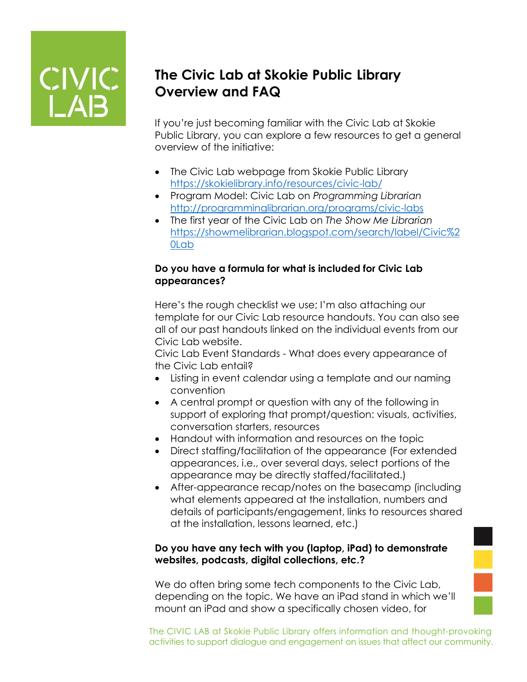

## **The Civic Lab at Skokie Public Library Overview and FAQ**

If you're just becoming familiar with the Civic Lab at Skokie Public Library, you can explore a few resources to get a general overview of the initiative:

- The Civic Lab webpage from Skokie Public Library <https://skokielibrary.info/resources/civic-lab/>
- Program Model: Civic Lab on *Programming Librarian* <http://programminglibrarian.org/programs/civic-labs>
- The first year of the Civic Lab on *The Show Me Librarian* [https://showmelibrarian.blogspot.com/search/label/Civic%2](https://showmelibrarian.blogspot.com/search/label/Civic%20Lab) [0Lab](https://showmelibrarian.blogspot.com/search/label/Civic%20Lab)

#### **Do you have a formula for what is included for Civic Lab appearances?**

Here's the rough checklist we use; I'm also attaching our template for our Civic Lab resource handouts. You can also see all of our past handouts linked on the individual events from our Civic Lab website.

Civic Lab Event Standards - What does every appearance of the Civic Lab entail?

- Listing in event calendar using a template and our naming convention
- A central prompt or question with any of the following in support of exploring that prompt/question: visuals, activities, conversation starters, resources
- Handout with information and resources on the topic
- Direct staffing/facilitation of the appearance (For extended appearances, i.e., over several days, select portions of the appearance may be directly staffed/facilitated.)
- After-appearance recap/notes on the basecamp (including what elements appeared at the installation, numbers and details of participants/engagement, links to resources shared at the installation, lessons learned, etc.)

#### **Do you have any tech with you (laptop, iPad) to demonstrate websites, podcasts, digital collections, etc.?**

We do often bring some tech components to the Civic Lab, depending on the topic. We have an iPad stand in which we'll mount an iPad and show a specifically chosen video, for

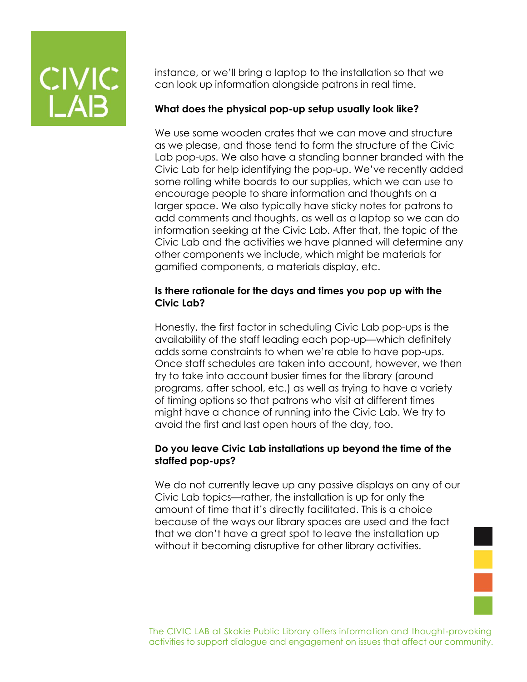instance, or we'll bring a laptop to the installation so that we can look up information alongside patrons in real time.

#### **What does the physical pop-up setup usually look like?**

We use some wooden crates that we can move and structure as we please, and those tend to form the structure of the Civic Lab pop-ups. We also have a standing banner branded with the Civic Lab for help identifying the pop-up. We've recently added some rolling white boards to our supplies, which we can use to encourage people to share information and thoughts on a larger space. We also typically have sticky notes for patrons to add comments and thoughts, as well as a laptop so we can do information seeking at the Civic Lab. After that, the topic of the Civic Lab and the activities we have planned will determine any other components we include, which might be materials for gamified components, a materials display, etc.

#### **Is there rationale for the days and times you pop up with the Civic Lab?**

Honestly, the first factor in scheduling Civic Lab pop-ups is the availability of the staff leading each pop-up—which definitely adds some constraints to when we're able to have pop-ups. Once staff schedules are taken into account, however, we then try to take into account busier times for the library (around programs, after school, etc.) as well as trying to have a variety of timing options so that patrons who visit at different times might have a chance of running into the Civic Lab. We try to avoid the first and last open hours of the day, too.

#### **Do you leave Civic Lab installations up beyond the time of the staffed pop-ups?**

We do not currently leave up any passive displays on any of our Civic Lab topics—rather, the installation is up for only the amount of time that it's directly facilitated. This is a choice because of the ways our library spaces are used and the fact that we don't have a great spot to leave the installation up without it becoming disruptive for other library activities.

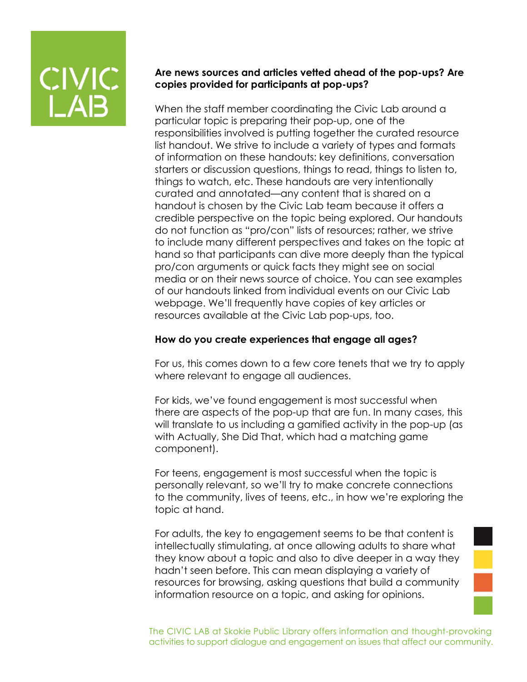

#### **Are news sources and articles vetted ahead of the pop-ups? Are copies provided for participants at pop-ups?**

When the staff member coordinating the Civic Lab around a particular topic is preparing their pop-up, one of the responsibilities involved is putting together the curated resource list handout. We strive to include a variety of types and formats of information on these handouts: key definitions, conversation starters or discussion questions, things to read, things to listen to, things to watch, etc. These handouts are very intentionally curated and annotated—any content that is shared on a handout is chosen by the Civic Lab team because it offers a credible perspective on the topic being explored. Our handouts do not function as "pro/con" lists of resources; rather, we strive to include many different perspectives and takes on the topic at hand so that participants can dive more deeply than the typical pro/con arguments or quick facts they might see on social media or on their news source of choice. You can see examples of our handouts linked from individual events on our Civic Lab webpage. We'll frequently have copies of key articles or resources available at the Civic Lab pop-ups, too.

#### **How do you create experiences that engage all ages?**

For us, this comes down to a few core tenets that we try to apply where relevant to engage all audiences.

For kids, we've found engagement is most successful when there are aspects of the pop-up that are fun. In many cases, this will translate to us including a gamified activity in the pop-up (as with Actually, She Did That, which had a matching game component).

For teens, engagement is most successful when the topic is personally relevant, so we'll try to make concrete connections to the community, lives of teens, etc., in how we're exploring the topic at hand.

For adults, the key to engagement seems to be that content is intellectually stimulating, at once allowing adults to share what they know about a topic and also to dive deeper in a way they hadn't seen before. This can mean displaying a variety of resources for browsing, asking questions that build a community information resource on a topic, and asking for opinions.

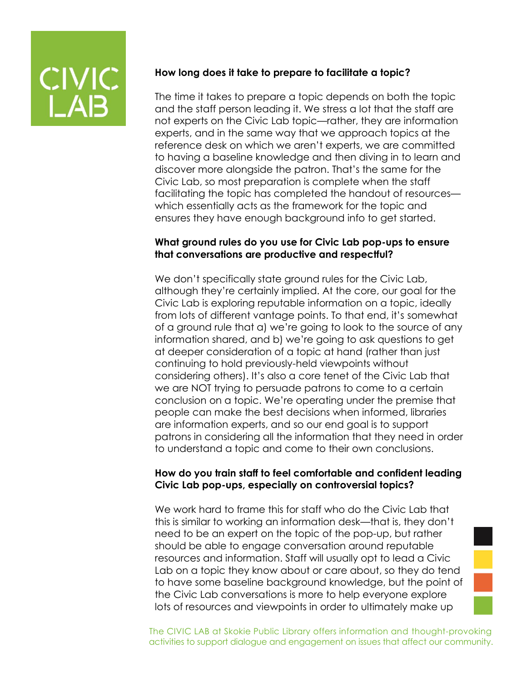#### **How long does it take to prepare to facilitate a topic?**

The time it takes to prepare a topic depends on both the topic and the staff person leading it. We stress a lot that the staff are not experts on the Civic Lab topic—rather, they are information experts, and in the same way that we approach topics at the reference desk on which we aren't experts, we are committed to having a baseline knowledge and then diving in to learn and discover more alongside the patron. That's the same for the Civic Lab, so most preparation is complete when the staff facilitating the topic has completed the handout of resources which essentially acts as the framework for the topic and ensures they have enough background info to get started.

#### **What ground rules do you use for Civic Lab pop-ups to ensure that conversations are productive and respectful?**

We don't specifically state ground rules for the Civic Lab, although they're certainly implied. At the core, our goal for the Civic Lab is exploring reputable information on a topic, ideally from lots of different vantage points. To that end, it's somewhat of a ground rule that a) we're going to look to the source of any information shared, and b) we're going to ask questions to get at deeper consideration of a topic at hand (rather than just continuing to hold previously-held viewpoints without considering others). It's also a core tenet of the Civic Lab that we are NOT trying to persuade patrons to come to a certain conclusion on a topic. We're operating under the premise that people can make the best decisions when informed, libraries are information experts, and so our end goal is to support patrons in considering all the information that they need in order to understand a topic and come to their own conclusions.

#### **How do you train staff to feel comfortable and confident leading Civic Lab pop-ups, especially on controversial topics?**

We work hard to frame this for staff who do the Civic Lab that this is similar to working an information desk—that is, they don't need to be an expert on the topic of the pop-up, but rather should be able to engage conversation around reputable resources and information. Staff will usually opt to lead a Civic Lab on a topic they know about or care about, so they do tend to have some baseline background knowledge, but the point of the Civic Lab conversations is more to help everyone explore lots of resources and viewpoints in order to ultimately make up

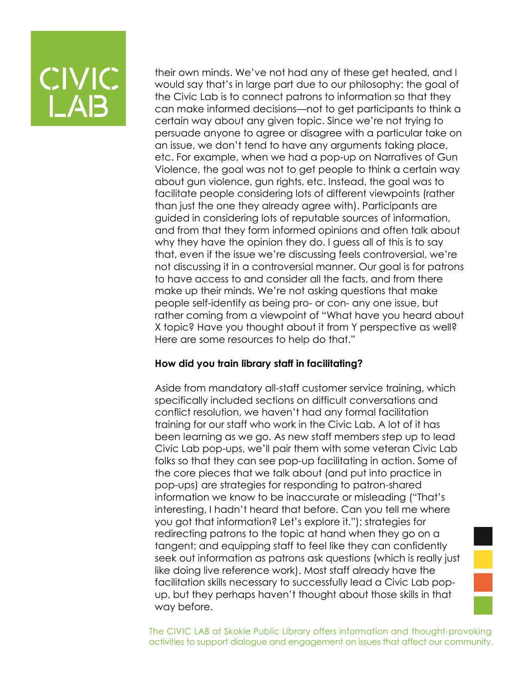their own minds. We've not had any of these get heated, and I would say that's in large part due to our philosophy: the goal of the Civic Lab is to connect patrons to information so that they can make informed decisions—not to get participants to think a certain way about any given topic. Since we're not trying to persuade anyone to agree or disagree with a particular take on an issue, we don't tend to have any arguments taking place, etc. For example, when we had a pop-up on Narratives of Gun Violence, the goal was not to get people to think a certain way about gun violence, gun rights, etc. Instead, the goal was to facilitate people considering lots of different viewpoints (rather than just the one they already agree with). Participants are guided in considering lots of reputable sources of information, and from that they form informed opinions and often talk about why they have the opinion they do. I guess all of this is to say that, even if the issue we're discussing feels controversial, we're not discussing it in a controversial manner. Our goal is for patrons to have access to and consider all the facts, and from there make up their minds. We're not asking questions that make people self-identify as being pro- or con- any one issue, but rather coming from a viewpoint of "What have you heard about X topic? Have you thought about it from Y perspective as well? Here are some resources to help do that."

#### **How did you train library staff in facilitating?**

Aside from mandatory all-staff customer service training, which specifically included sections on difficult conversations and conflict resolution, we haven't had any formal facilitation training for our staff who work in the Civic Lab. A lot of it has been learning as we go. As new staff members step up to lead Civic Lab pop-ups, we'll pair them with some veteran Civic Lab folks so that they can see pop-up facilitating in action. Some of the core pieces that we talk about (and put into practice in pop-ups) are strategies for responding to patron-shared information we know to be inaccurate or misleading ("That's interesting, I hadn't heard that before. Can you tell me where you got that information? Let's explore it."); strategies for redirecting patrons to the topic at hand when they go on a tangent; and equipping staff to feel like they can confidently seek out information as patrons ask questions (which is really just like doing live reference work). Most staff already have the facilitation skills necessary to successfully lead a Civic Lab popup, but they perhaps haven't thought about those skills in that way before.

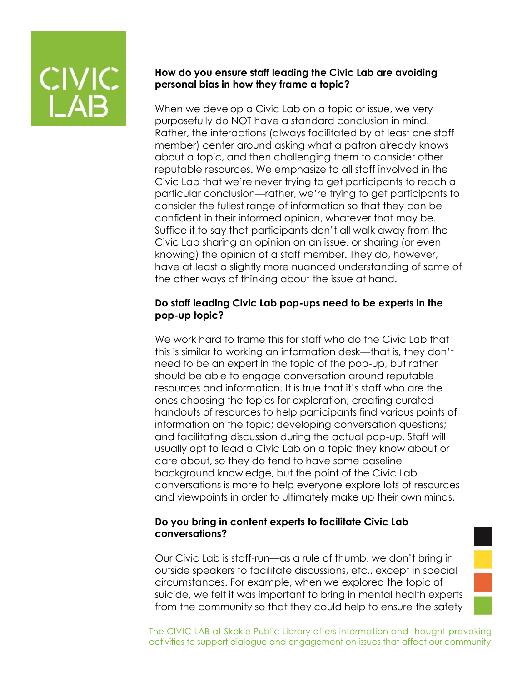#### **How do you ensure staff leading the Civic Lab are avoiding personal bias in how they frame a topic?**

When we develop a Civic Lab on a topic or issue, we very purposefully do NOT have a standard conclusion in mind. Rather, the interactions (always facilitated by at least one staff member) center around asking what a patron already knows about a topic, and then challenging them to consider other reputable resources. We emphasize to all staff involved in the Civic Lab that we're never trying to get participants to reach a particular conclusion—rather, we're trying to get participants to consider the fullest range of information so that they can be confident in their informed opinion, whatever that may be. Suffice it to say that participants don't all walk away from the Civic Lab sharing an opinion on an issue, or sharing (or even knowing) the opinion of a staff member. They do, however, have at least a slightly more nuanced understanding of some of the other ways of thinking about the issue at hand.

#### **Do staff leading Civic Lab pop-ups need to be experts in the pop-up topic?**

We work hard to frame this for staff who do the Civic Lab that this is similar to working an information desk—that is, they don't need to be an expert in the topic of the pop-up, but rather should be able to engage conversation around reputable resources and information. It is true that it's staff who are the ones choosing the topics for exploration; creating curated handouts of resources to help participants find various points of information on the topic; developing conversation questions; and facilitating discussion during the actual pop-up. Staff will usually opt to lead a Civic Lab on a topic they know about or care about, so they do tend to have some baseline background knowledge, but the point of the Civic Lab conversations is more to help everyone explore lots of resources and viewpoints in order to ultimately make up their own minds.

#### **Do you bring in content experts to facilitate Civic Lab conversations?**

Our Civic Lab is staff-run—as a rule of thumb, we don't bring in outside speakers to facilitate discussions, etc., except in special circumstances. For example, when we explored the topic of suicide, we felt it was important to bring in mental health experts from the community so that they could help to ensure the safety

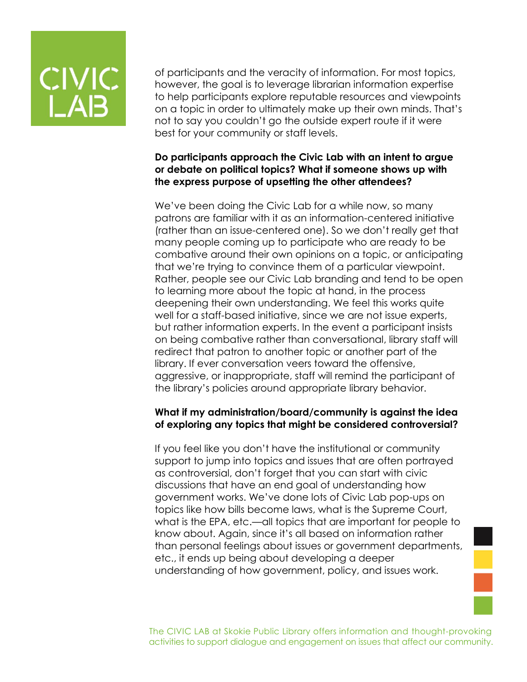of participants and the veracity of information. For most topics, however, the goal is to leverage librarian information expertise to help participants explore reputable resources and viewpoints on a topic in order to ultimately make up their own minds. That's not to say you couldn't go the outside expert route if it were best for your community or staff levels.

#### **Do participants approach the Civic Lab with an intent to argue or debate on political topics? What if someone shows up with the express purpose of upsetting the other attendees?**

We've been doing the Civic Lab for a while now, so many patrons are familiar with it as an information-centered initiative (rather than an issue-centered one). So we don't really get that many people coming up to participate who are ready to be combative around their own opinions on a topic, or anticipating that we're trying to convince them of a particular viewpoint. Rather, people see our Civic Lab branding and tend to be open to learning more about the topic at hand, in the process deepening their own understanding. We feel this works quite well for a staff-based initiative, since we are not issue experts, but rather information experts. In the event a participant insists on being combative rather than conversational, library staff will redirect that patron to another topic or another part of the library. If ever conversation veers toward the offensive, aggressive, or inappropriate, staff will remind the participant of the library's policies around appropriate library behavior.

#### **What if my administration/board/community is against the idea of exploring any topics that might be considered controversial?**

If you feel like you don't have the institutional or community support to jump into topics and issues that are often portrayed as controversial, don't forget that you can start with civic discussions that have an end goal of understanding how government works. We've done lots of Civic Lab pop-ups on topics like how bills become laws, what is the Supreme Court, what is the EPA, etc.—all topics that are important for people to know about. Again, since it's all based on information rather than personal feelings about issues or government departments, etc., it ends up being about developing a deeper understanding of how government, policy, and issues work.

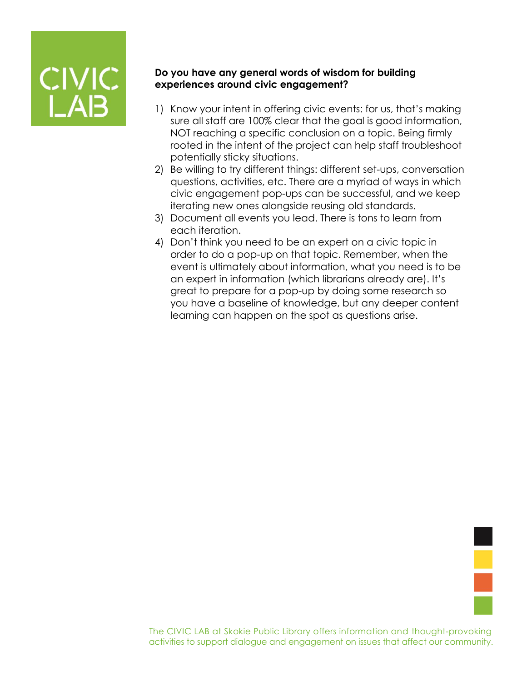

#### **Do you have any general words of wisdom for building experiences around civic engagement?**

- 1) Know your intent in offering civic events: for us, that's making sure all staff are 100% clear that the goal is good information, NOT reaching a specific conclusion on a topic. Being firmly rooted in the intent of the project can help staff troubleshoot potentially sticky situations.
- 2) Be willing to try different things: different set-ups, conversation questions, activities, etc. There are a myriad of ways in which civic engagement pop-ups can be successful, and we keep iterating new ones alongside reusing old standards.
- 3) Document all events you lead. There is tons to learn from each iteration.
- 4) Don't think you need to be an expert on a civic topic in order to do a pop-up on that topic. Remember, when the event is ultimately about information, what you need is to be an expert in information (which librarians already are). It's great to prepare for a pop-up by doing some research so you have a baseline of knowledge, but any deeper content learning can happen on the spot as questions arise.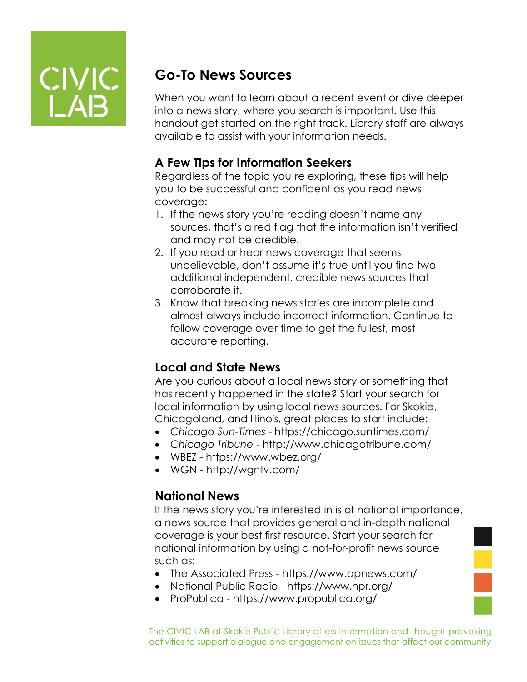

## **Go-To News Sources**

When you want to learn about a recent event or dive deeper into a news story, where you search is important. Use this handout get started on the right track. Library staff are always available to assist with your information needs.

## **A Few Tips for Information Seekers**

Regardless of the topic you're exploring, these tips will help you to be successful and confident as you read news coverage:

- 1. If the news story you're reading doesn't name any sources, that's a red flag that the information isn't verified and may not be credible.
- 2. If you read or hear news coverage that seems unbelievable, don't assume it's true until you find two additional independent, credible news sources that corroborate it.
- 3. Know that breaking news stories are incomplete and almost always include incorrect information. Continue to follow coverage over time to get the fullest, most accurate reporting.

## **Local and State News**

Are you curious about a local news story or something that has recently happened in the state? Start your search for local information by using local news sources. For Skokie, Chicagoland, and Illinois, great places to start include:

- *Chicago Sun-Times*  https://chicago.suntimes.com/
- *Chicago Tribune*  http://www.chicagotribune.com/
- WBEZ https://www.wbez.org/
- WGN http://wgntv.com/

### **National News**

If the news story you're interested in is of national importance, a news source that provides general and in-depth national coverage is your best first resource. Start your search for national information by using a not-for-profit news source such as:

- The Associated Press https://www.apnews.com/
- National Public Radio https://www.npr.org/
- ProPublica https://www.propublica.org/

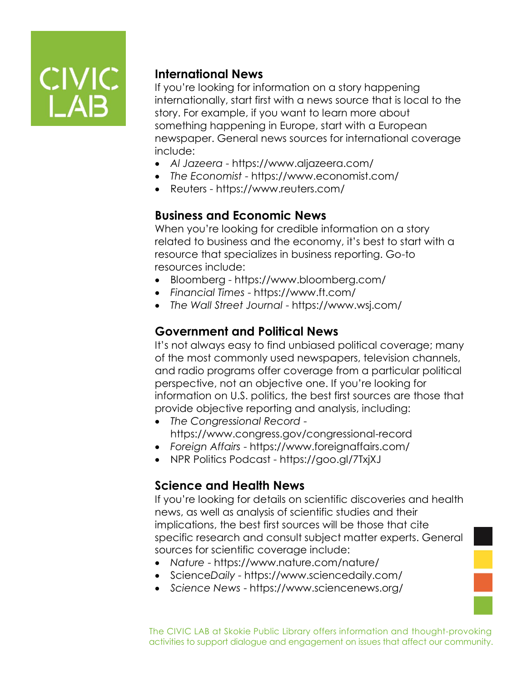

### **International News**

If you're looking for information on a story happening internationally, start first with a news source that is local to the story. For example, if you want to learn more about something happening in Europe, start with a European newspaper. General news sources for international coverage include:

- *Al Jazeera* https://www.aljazeera.com/
- *The Economist* https://www.economist.com/
- Reuters https://www.reuters.com/

### **Business and Economic News**

When you're looking for credible information on a story related to business and the economy, it's best to start with a resource that specializes in business reporting. Go-to resources include:

- Bloomberg https://www.bloomberg.com/
- *Financial Times* https://www.ft.com/
- *The Wall Street Journal* https://www.wsj.com/

### **Government and Political News**

It's not always easy to find unbiased political coverage; many of the most commonly used newspapers, television channels, and radio programs offer coverage from a particular political perspective, not an objective one. If you're looking for information on U.S. politics, the best first sources are those that provide objective reporting and analysis, including:

- *The Congressional Record* https://www.congress.gov/congressional-record
- *Foreign Affairs*  https://www.foreignaffairs.com/
- NPR Politics Podcast https://goo.gl/7TxjXJ

### **Science and Health News**

If you're looking for details on scientific discoveries and health news, as well as analysis of scientific studies and their implications, the best first sources will be those that cite specific research and consult subject matter experts. General sources for scientific coverage include:

- *Nature*  https://www.nature.com/nature/
- Science*Daily*  https://www.sciencedaily.com/
- *Science News*  https://www.sciencenews.org/